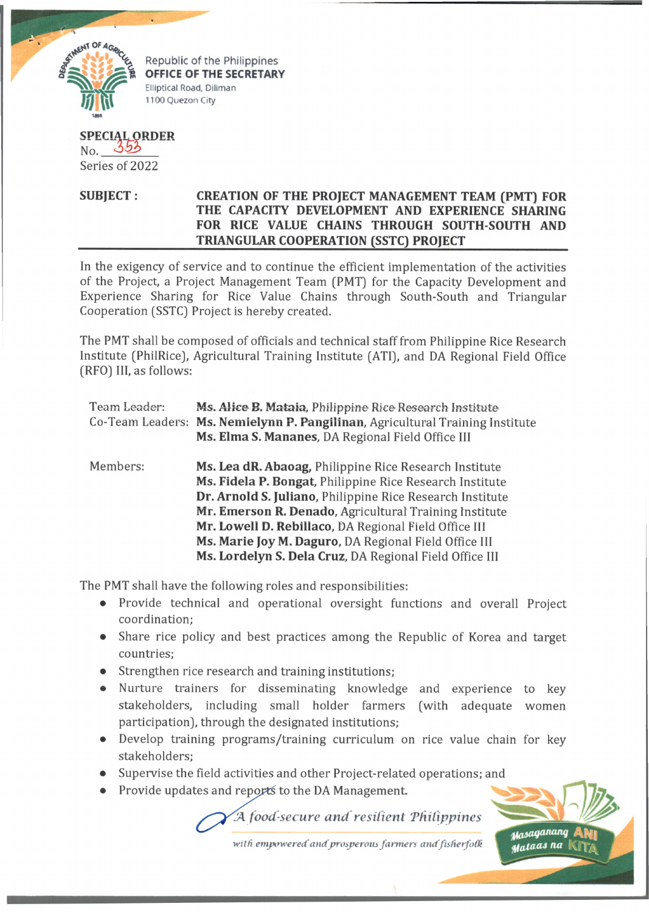

Republic of the Philippines **OFFICE OF THE SECRETARY** Elliptical Road, Diliman 1100 Quezon City

## **SPECIAL-ORDER** No. 353

Series of 2022

## **SUBJECT : CREATION OF THE PROJECT MANAGEMENT TEAM (PMT) FOR THE CAPACITY DEVELOPMENT AND EXPERIENCE SHARING FOR RICE VALUE CHAINS THROUGH SOUTH-SOUTH AND \_\_\_\_\_\_\_\_\_\_\_\_\_\_\_\_\_\_\_\_\_\_\_\_ TRIANGULAR COOPERATION (SSTC) PROJECT\_\_\_\_\_\_\_\_\_\_\_\_\_\_\_\_\_\_\_\_\_**

In the exigency of service and to continue the efficient implementation of the activities of the Project, a Project Management Team (PMT) for the Capacity Development and Experience Sharing for Rice Value Chains through South-South and Triangular Cooperation (SSTC) Project is hereby created.

The PMT shall be composed of officials and technical staff from Philippine Rice Research Institute (PhilRice), Agricultural Training Institute (ATI), and DA Regional Field Office (RFO) III, as follows:

| Team Leader: | Ms. Alice B. Mataia, Philippine Rice Research Institute<br>Co-Team Leaders: Ms. Nemielynn P. Pangilinan, Agricultural Training Institute<br>Ms. Elma S. Mananes, DA Regional Field Office III |
|--------------|-----------------------------------------------------------------------------------------------------------------------------------------------------------------------------------------------|
| Members:     | Ms. Lea dR. Abaoag, Philippine Rice Research Institute<br>Ms. Fidela P. Bongat, Philippine Rice Research Institute<br>Dr. Arnold S. Juliano, Philippine Rice Research Institute               |
|              | Mr. Emerson R. Denado, Agricultural Training Institute                                                                                                                                        |
|              | Mr. Lowell D. Rebillaco, DA Regional Field Office III                                                                                                                                         |
|              | Ms. Marie Joy M. Daguro, DA Regional Field Office III                                                                                                                                         |
|              | Ms. Lordelyn S. Dela Cruz, DA Regional Field Office III                                                                                                                                       |

The PMT shall have the following roles and responsibilities:

- Provide technical and operational oversight functions and overall Project coordination;
- Share rice policy and best practices among the Republic of Korea and target countries;
- Strengthen rice research and training institutions;
- Nurture trainers for disseminating knowledge and experience to key stakeholders, including small holder farmers (with adequate women participation), through the designated institutions;
- Develop training programs/training curriculum on rice value chain for key stakeholders;
- Supervise the field activities and other Project-related operations; and
- Provide updates and reports to the DA Management.

*.A food-secure and resilient 'Philippines*



with empowered and prosperous farmers and fisherfolk